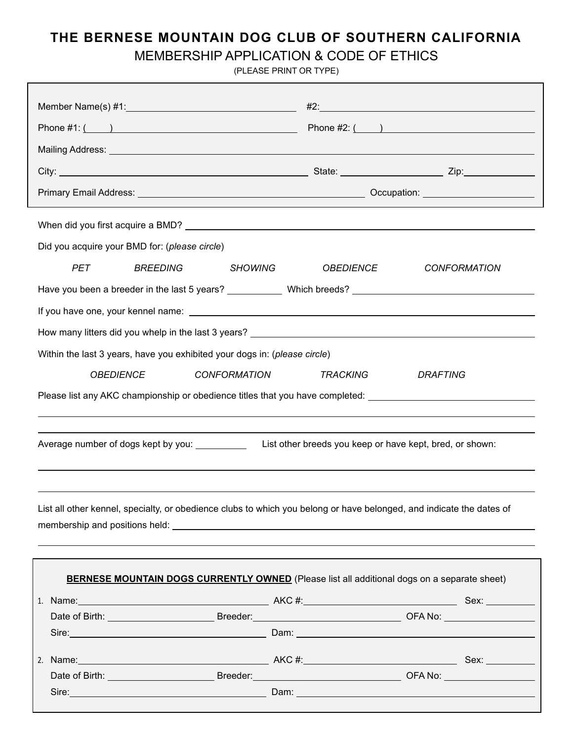## **THE BERNESE MOUNTAIN DOG CLUB OF SOUTHERN CALIFORNIA**

## MEMBERSHIP APPLICATION & CODE OF ETHICS

(PLEASE PRINT OR TYPE)

|                                                                                                                      |                                                                                                                                                                                                                                      | #2:                                     |  |  |  |  |  |  |
|----------------------------------------------------------------------------------------------------------------------|--------------------------------------------------------------------------------------------------------------------------------------------------------------------------------------------------------------------------------------|-----------------------------------------|--|--|--|--|--|--|
| Mailing Address: Law Mailing Address: Law Mailing Address: Law Mailing Address: Law Mailing Address: Law Mail        |                                                                                                                                                                                                                                      |                                         |  |  |  |  |  |  |
|                                                                                                                      |                                                                                                                                                                                                                                      |                                         |  |  |  |  |  |  |
|                                                                                                                      |                                                                                                                                                                                                                                      |                                         |  |  |  |  |  |  |
|                                                                                                                      |                                                                                                                                                                                                                                      |                                         |  |  |  |  |  |  |
|                                                                                                                      |                                                                                                                                                                                                                                      |                                         |  |  |  |  |  |  |
| Did you acquire your BMD for: (please circle)                                                                        |                                                                                                                                                                                                                                      |                                         |  |  |  |  |  |  |
|                                                                                                                      | <b>BREEDING</b><br><b>PET</b><br><b>SHOWING</b>                                                                                                                                                                                      | <b>OBEDIENCE</b><br><b>CONFORMATION</b> |  |  |  |  |  |  |
|                                                                                                                      |                                                                                                                                                                                                                                      |                                         |  |  |  |  |  |  |
|                                                                                                                      |                                                                                                                                                                                                                                      |                                         |  |  |  |  |  |  |
|                                                                                                                      |                                                                                                                                                                                                                                      |                                         |  |  |  |  |  |  |
| Within the last 3 years, have you exhibited your dogs in: (please circle)                                            |                                                                                                                                                                                                                                      |                                         |  |  |  |  |  |  |
|                                                                                                                      | <b>OBEDIENCE</b><br><b>CONFORMATION</b>                                                                                                                                                                                              | <b>TRACKING</b><br><b>DRAFTING</b>      |  |  |  |  |  |  |
| Please list any AKC championship or obedience titles that you have completed: ______________________                 |                                                                                                                                                                                                                                      |                                         |  |  |  |  |  |  |
|                                                                                                                      |                                                                                                                                                                                                                                      |                                         |  |  |  |  |  |  |
|                                                                                                                      |                                                                                                                                                                                                                                      |                                         |  |  |  |  |  |  |
|                                                                                                                      |                                                                                                                                                                                                                                      |                                         |  |  |  |  |  |  |
|                                                                                                                      |                                                                                                                                                                                                                                      |                                         |  |  |  |  |  |  |
|                                                                                                                      |                                                                                                                                                                                                                                      |                                         |  |  |  |  |  |  |
| List all other kennel, specialty, or obedience clubs to which you belong or have belonged, and indicate the dates of |                                                                                                                                                                                                                                      |                                         |  |  |  |  |  |  |
|                                                                                                                      |                                                                                                                                                                                                                                      |                                         |  |  |  |  |  |  |
|                                                                                                                      |                                                                                                                                                                                                                                      |                                         |  |  |  |  |  |  |
| <b>BERNESE MOUNTAIN DOGS CURRENTLY OWNED</b> (Please list all additional dogs on a separate sheet)                   |                                                                                                                                                                                                                                      |                                         |  |  |  |  |  |  |
|                                                                                                                      |                                                                                                                                                                                                                                      |                                         |  |  |  |  |  |  |
|                                                                                                                      |                                                                                                                                                                                                                                      |                                         |  |  |  |  |  |  |
|                                                                                                                      | Sire: <u>New York: New York: New York: New York: New York: New York: New York: New York: New York: New York: New York: New York: New York: New York: New York: New York: New York: New York: New York: New York: New York: New Y</u> |                                         |  |  |  |  |  |  |
|                                                                                                                      |                                                                                                                                                                                                                                      |                                         |  |  |  |  |  |  |
|                                                                                                                      |                                                                                                                                                                                                                                      |                                         |  |  |  |  |  |  |
|                                                                                                                      |                                                                                                                                                                                                                                      |                                         |  |  |  |  |  |  |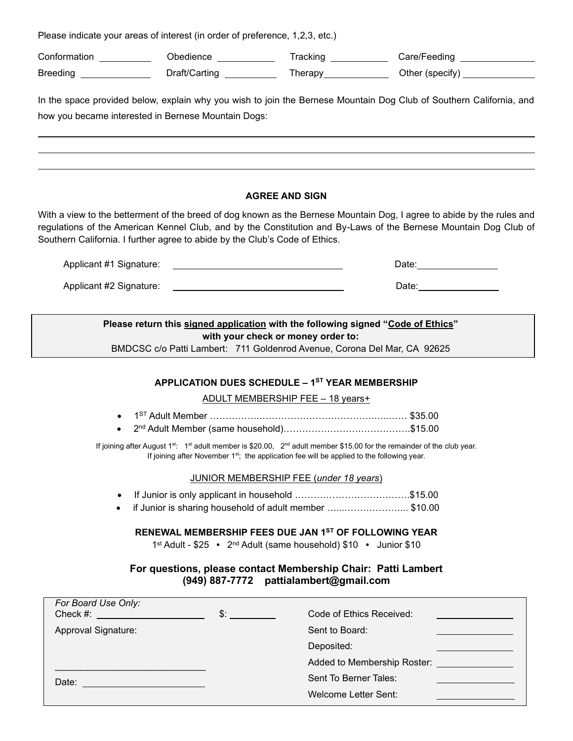Please indicate your areas of interest (in order of preference, 1,2,3, etc.)

l

Conformation \_\_\_\_\_\_\_\_\_\_\_ Obedience \_\_\_\_\_\_\_\_\_\_\_\_ Tracking \_\_\_\_\_\_\_\_\_\_ Care/Feeding \_\_\_\_\_\_\_\_\_\_ Breeding \_\_\_\_\_\_\_\_\_\_\_\_\_\_\_ Draft/Carting \_\_\_\_\_\_\_\_\_\_\_\_\_Therapy \_\_\_\_\_\_\_\_\_\_\_\_\_\_Other (specify) \_\_\_\_\_\_\_\_\_\_\_\_\_\_\_

In the space provided below, explain why you wish to join the Bernese Mountain Dog Club of Southern California, and how you became interested in Bernese Mountain Dogs:

l

l

#### **AGREE AND SIGN**

With a view to the betterment of the breed of dog known as the Bernese Mountain Dog, I agree to abide by the rules and regulations of the American Kennel Club, and by the Constitution and By-Laws of the Bernese Mountain Dog Club of Southern California. I further agree to abide by the Club's Code of Ethics.

| Applicant #1 Signature: | ⊃ate <sup>.</sup> |
|-------------------------|-------------------|
| Applicant #2 Signature: | Date.             |

**Please return this signed application with the following signed "Code of Ethics" with your check or money order to:** 

BMDCSC c/o Patti Lambert: 711 Goldenrod Avenue, Corona Del Mar, CA 92625

### **APPLICATION DUES SCHEDULE – 1ST YEAR MEMBERSHIP**

ADULT MEMBERSHIP FEE – 18 years+

- 1 ST Adult Member …………….……………………………….…..…… \$35.00
- 2 nd Adult Member (same household)…………………….…………….\$15.00

If joining after August 1<sup>st</sup>: 1<sup>st</sup> adult member is \$20.00, 2<sup>nd</sup> adult member \$15.00 for the remainder of the club year. If joining after November 1<sup>st</sup>; the application fee will be applied to the following year.

JUNIOR MEMBERSHIP FEE (*under 18 years*)

- If Junior is only applicant in household ……………………………….\$15.00
- if Junior is sharing household of adult member …...………………... \$10.00

**RENEWAL MEMBERSHIP FEES DUE JAN 1ST OF FOLLOWING YEAR**

1 st Adult - \$25 **•** 2 nd Adult (same household) \$10 **•** Junior \$10

#### **For questions, please contact Membership Chair: Patti Lambert (949) 887-7772 pattialambert@gmail.com**

| For Board Use Only:<br>Check #: | $\mathbb{S}^+$ | Code of Ethics Received:    |  |
|---------------------------------|----------------|-----------------------------|--|
| Approval Signature:             |                | Sent to Board:              |  |
|                                 |                | Deposited:                  |  |
|                                 |                | Added to Membership Roster: |  |
| Date:                           |                | Sent To Berner Tales:       |  |
|                                 |                | Welcome Letter Sent:        |  |
|                                 |                |                             |  |